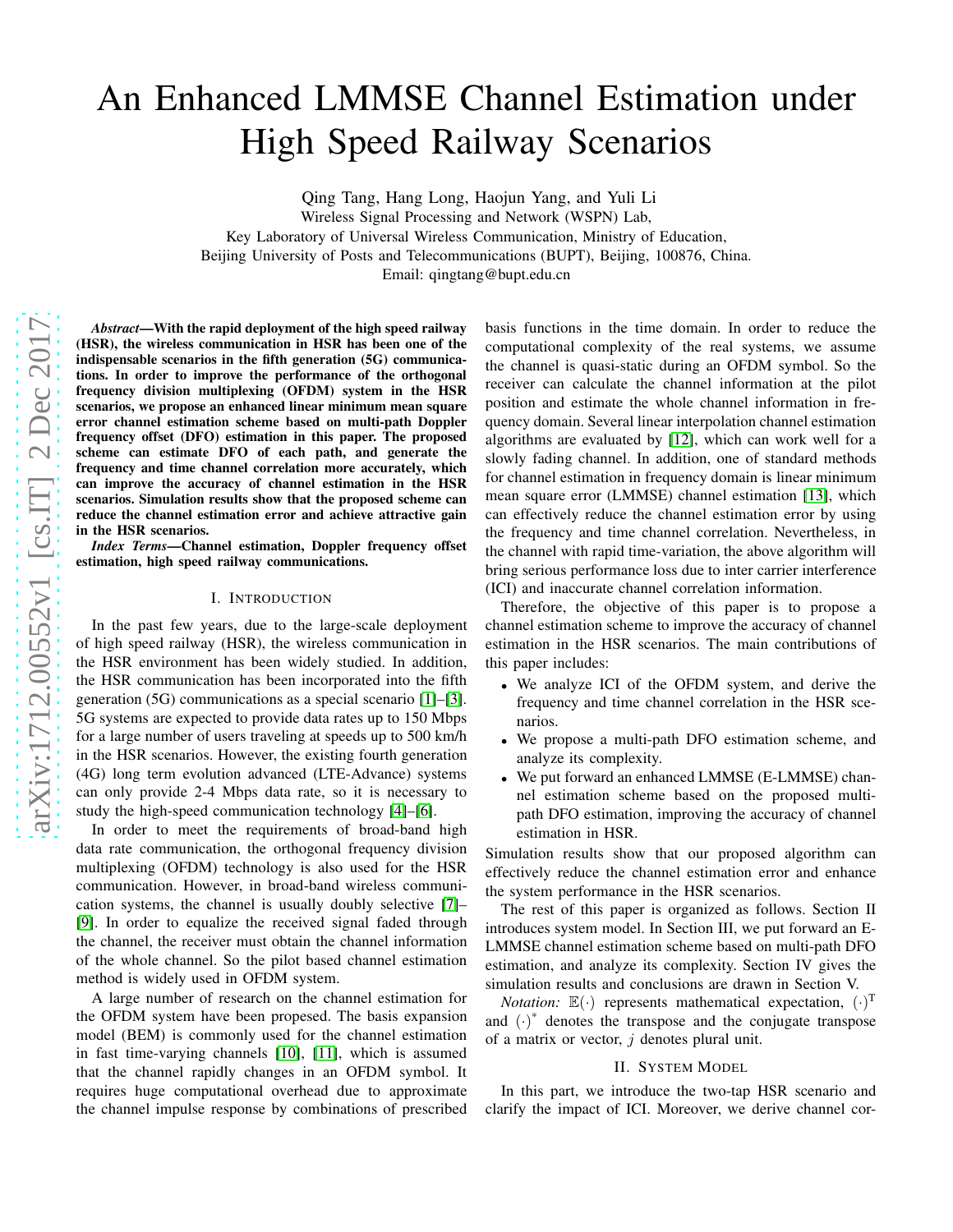# An Enhanced LMMSE Channel Estimation under High Speed Railway Scenarios

Qing Tang, Hang Long, Haojun Yang, and Yuli Li Wireless Signal Processing and Network (WSPN) Lab, Key Laboratory of Universal Wireless Communication, Ministry of Education, Beijing University of Posts and Telecommunications (BUPT), Beijing, 100876, China. Email: qingtang@bupt.edu.cn

*Abstract*—With the rapid deployment of the high speed railway (HSR), the wireless communication in HSR has been one of the indispensable scenarios in the fifth generation (5G) communications. In order to improve the performance of the orthogonal frequency division multiplexing (OFDM) system in the HSR scenarios, we propose an enhanced linear minimum mean squar e error channel estimation scheme based on multi-path Dopple r frequency offset (DFO) estimation in this paper. The proposed scheme can estimate DFO of each path, and generate the frequency and time channel correlation more accurately, which can improve the accuracy of channel estimation in the HSR scenarios. Simulation results show that the proposed scheme can reduce the channel estimation error and achieve attractive gain in the HSR scenarios.

*Index Terms*—Channel estimation, Doppler frequency offset estimation, high speed railway communications.

#### I. INTRODUCTION

In the past few years, due to the large-scale deployment of high speed railway (HSR), the wireless communication in the HSR environment has been widely studied. In addition, the HSR communication has been incorporated into the fifth generation (5G) communications as a special scenario [\[1\]](#page-4-0)–[\[3\]](#page-4-1). 5G systems are expected to provide data rates up to 150 Mbps for a large number of users traveling at speeds up to 500 km/h in the HSR scenarios. However, the existing fourth generation (4G) long term evolution advanced (LTE-Advance) systems can only provide 2-4 Mbps data rate, so it is necessary to study the high-speed communication technology [\[4\]](#page-4-2)–[\[6\]](#page-5-0).

In order to meet the requirements of broad-band high data rate communication, the orthogonal frequency divisio n multiplexing (OFDM) technology is also used for the HSR communication. However, in broad-band wireless communication systems, the channel is usually doubly selective [\[7\]](#page-5-1)– [\[9\]](#page-5-2). In order to equalize the received signal faded through the channel, the receiver must obtain the channel information of the whole channel. So the pilot based channel estimation method is widely used in OFDM system.

A large number of research on the channel estimation for the OFDM system have been propesed. The basis expansion model (BEM) is commonly used for the channel estimation in fast time-varying channels [\[10\]](#page-5-3), [\[11\]](#page-5-4), which is assumed that the channel rapidly changes in an OFDM symbol. It requires huge computational overhead due to approximate the channel impulse response by combinations of prescribed

basis functions in the time domain. In order to reduce the computational complexity of the real systems, we assume the channel is quasi-static during an OFDM symbol. So the receiver can calculate the channel information at the pilot position and estimate the whole channel information in frequency domain. Several linear interpolation channel estimation algorithms are evaluated by [\[12\]](#page-5-5), which can work well for a slowly fading channel. In addition, one of standard methods for channel estimation in frequency domain is linear minimu m mean square error (LMMSE) channel estimation [\[13\]](#page-5-6), which can effectively reduce the channel estimation error by usin g the frequency and time channel correlation. Nevertheless, in the channel with rapid time-variation, the above algorithm will bring serious performance loss due to inter carrier interference (ICI) and inaccurate channel correlation information.

Therefore, the objective of this paper is to propose a channel estimation scheme to improve the accuracy of channe l estimation in the HSR scenarios. The main contributions of this paper includes:

- We analyze ICI of the OFDM system, and derive the frequency and time channel correlation in the HSR scenarios.
- We propose a multi-path DFO estimation scheme, and analyze its complexity.
- We put forward an enhanced LMMSE (E-LMMSE) channel estimation scheme based on the proposed multipath DFO estimation, improving the accuracy of channel estimation in HSR.

Simulation results show that our proposed algorithm can effectively reduce the channel estimation error and enhanc e the system performance in the HSR scenarios.

The rest of this paper is organized as follows. Section II introduces system model. In Section III, we put forward an E-LMMSE channel estimation scheme based on multi-path DFO estimation, and analyze its complexity. Section IV gives th e simulation results and conclusions are drawn in Section V.

*Notation:*  $\mathbb{E}(\cdot)$  represents mathematical expectation,  $(\cdot)^T$ and  $\left(\cdot\right)^{*}$  denotes the transpose and the conjugate transpose of a matrix or vector, j denotes plural unit.

# II. SYSTEM MODEL

In this part, we introduce the two-tap HSR scenario and clarify the impact of ICI. Moreover, we derive channel cor-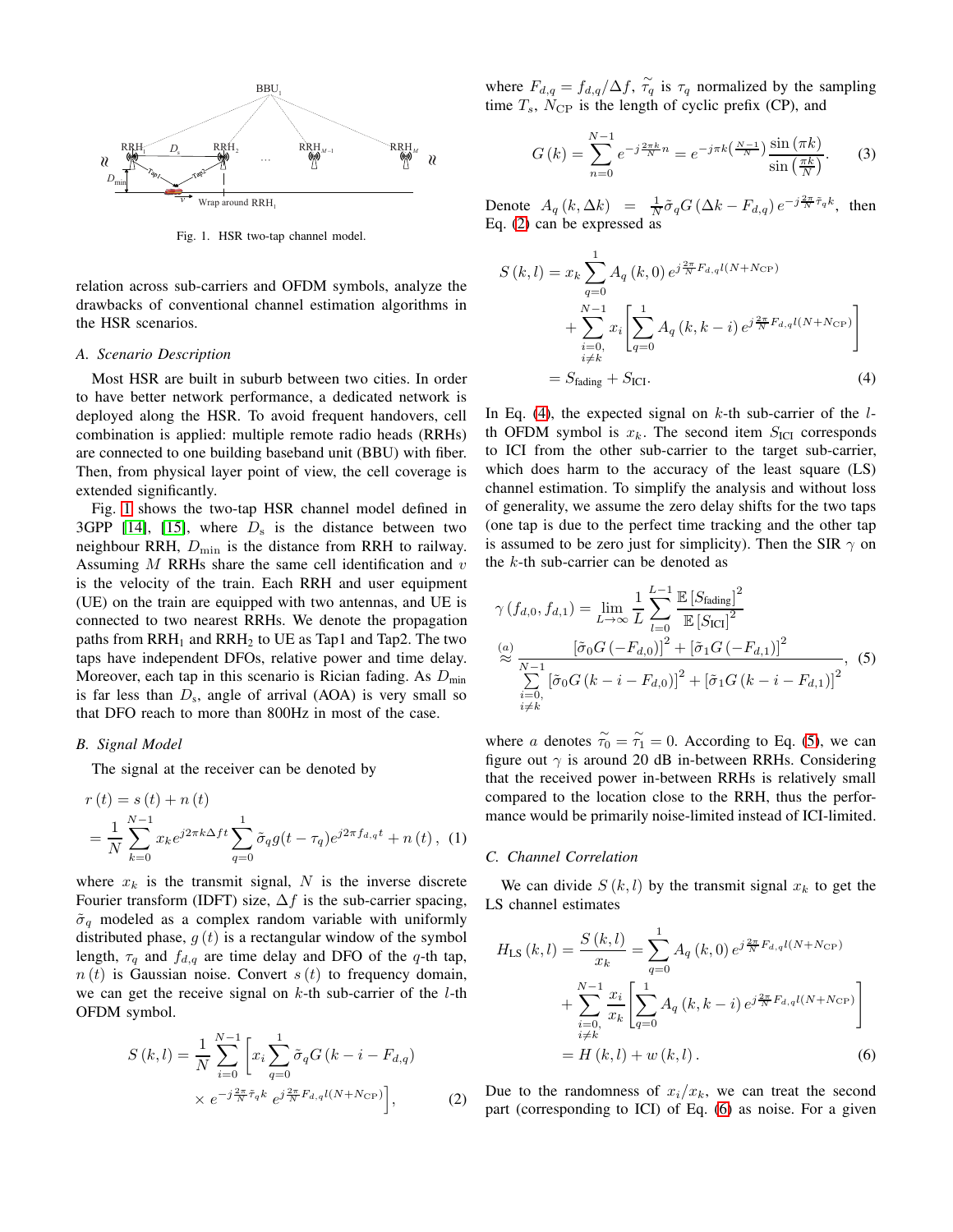

<span id="page-1-0"></span>Fig. 1. HSR two-tap channel model.

relation across sub-carriers and OFDM symbols, analyze the drawbacks of conventional channel estimation algorithms in the HSR scenarios.

#### *A. Scenario Description*

Most HSR are built in suburb between two cities. In order to have better network performance, a dedicated network is deployed along the HSR. To avoid frequent handovers, cell combination is applied: multiple remote radio heads (RRHs) are connected to one building baseband unit (BBU) with fiber. Then, from physical layer point of view, the cell coverage is extended significantly.

Fig. [1](#page-1-0) shows the two-tap HSR channel model defined in 3GPP [\[14\]](#page-5-7), [\[15\]](#page-5-8), where  $D_s$  is the distance between two neighbour RRH,  $D_{\text{min}}$  is the distance from RRH to railway. Assuming  $M$  RRHs share the same cell identification and  $v$ is the velocity of the train. Each RRH and user equipment (UE) on the train are equipped with two antennas, and UE is connected to two nearest RRHs. We denote the propagation paths from  $RRH_1$  and  $RRH_2$  to UE as Tap1 and Tap2. The two taps have independent DFOs, relative power and time delay. Moreover, each tap in this scenario is Rician fading. As  $D_{\text{min}}$ is far less than  $D_s$ , angle of arrival (AOA) is very small so that DFO reach to more than 800Hz in most of the case.

# *B. Signal Model*

The signal at the receiver can be denoted by

$$
r(t) = s(t) + n(t)
$$
  
=  $\frac{1}{N} \sum_{k=0}^{N-1} x_k e^{j2\pi k \Delta ft} \sum_{q=0}^{1} \tilde{\sigma}_q g(t - \tau_q) e^{j2\pi f_{d,q}t} + n(t)$ , (1)

where  $x_k$  is the transmit signal, N is the inverse discrete Fourier transform (IDFT) size,  $\Delta f$  is the sub-carrier spacing,  $\tilde{\sigma}_q$  modeled as a complex random variable with uniformly distributed phase,  $g(t)$  is a rectangular window of the symbol length,  $\tau_q$  and  $f_{d,q}$  are time delay and DFO of the q-th tap,  $n(t)$  is Gaussian noise. Convert  $s(t)$  to frequency domain, we can get the receive signal on  $k$ -th sub-carrier of the  $l$ -th OFDM symbol.

$$
S(k,l) = \frac{1}{N} \sum_{i=0}^{N-1} \left[ x_i \sum_{q=0}^{1} \tilde{\sigma}_q G(k-i - F_{d,q}) \times e^{-j\frac{2\pi}{N}\tilde{r}_q k} e^{j\frac{2\pi}{N}F_{d,q}l(N+N_{\rm CP})} \right],
$$
 (2)

where  $F_{d,q} = f_{d,q}/\Delta f$ ,  $\tilde{\tau}_q$  is  $\tau_q$  normalized by the sampling time  $T_s$ ,  $N_{\text{CP}}$  is the length of cyclic prefix (CP), and

$$
G(k) = \sum_{n=0}^{N-1} e^{-j\frac{2\pi k}{N}n} = e^{-j\pi k\left(\frac{N-1}{N}\right)} \frac{\sin(\pi k)}{\sin(\frac{\pi k}{N})}.
$$
 (3)

Denote  $A_q(k, \Delta k) = \frac{1}{N} \tilde{\sigma}_q G(\Delta k - F_{d,q}) e^{-j\frac{2\pi}{N} \tilde{\tau}_q k}$ , then Eq. [\(2\)](#page-1-1) can be expressed as

<span id="page-1-2"></span>
$$
S(k,l) = x_k \sum_{q=0}^{1} A_q(k,0) e^{j\frac{2\pi}{N}F_{d,q}l(N+N_{\rm CP})} + \sum_{\substack{N-1 \ i \neq k}}^{N-1} x_i \left[ \sum_{q=0}^{1} A_q(k,k-i) e^{j\frac{2\pi}{N}F_{d,q}l(N+N_{\rm CP})} \right] = S_{\text{fading}} + S_{\text{ICI}}.
$$
 (4)

In Eq. [\(4\)](#page-1-2), the expected signal on  $k$ -th sub-carrier of the  $l$ th OFDM symbol is  $x_k$ . The second item  $S_{\text{ICI}}$  corresponds to ICI from the other sub-carrier to the target sub-carrier, which does harm to the accuracy of the least square (LS) channel estimation. To simplify the analysis and without loss of generality, we assume the zero delay shifts for the two taps (one tap is due to the perfect time tracking and the other tap is assumed to be zero just for simplicity). Then the SIR  $\gamma$  on the  $k$ -th sub-carrier can be denoted as

<span id="page-1-3"></span>
$$
\gamma(f_{d,0}, f_{d,1}) = \lim_{L \to \infty} \frac{1}{L} \sum_{l=0}^{L-1} \frac{\mathbb{E} \left[ S_{\text{fading}} \right]^2}{\mathbb{E} \left[ S_{\text{ICI}} \right]^2}
$$
  
\n
$$
\approx \frac{\left[ \tilde{\sigma}_0 G \left( -F_{d,0} \right) \right]^2 + \left[ \tilde{\sigma}_1 G \left( -F_{d,1} \right) \right]^2}{\sum_{\substack{i=0, \ i \neq k}}^{N-1} \left[ \tilde{\sigma}_0 G \left( k - i - F_{d,0} \right) \right]^2 + \left[ \tilde{\sigma}_1 G \left( k - i - F_{d,1} \right) \right]^2}, \quad (5)
$$

where a denotes  $\tilde{\tau}_0 = \tilde{\tau}_1 = 0$ . According to Eq. [\(5\)](#page-1-3), we can figure out  $\gamma$  is around 20 dB in-between RRHs. Considering that the received power in-between RRHs is relatively small compared to the location close to the RRH, thus the performance would be primarily noise-limited instead of ICI-limited.

#### *C. Channel Correlation*

We can divide  $S(k, l)$  by the transmit signal  $x_k$  to get the LS channel estimates

$$
H_{\text{LS}}\left(k,l\right) = \frac{S\left(k,l\right)}{x_k} = \sum_{q=0}^{1} A_q\left(k,0\right) e^{j\frac{2\pi}{N}F_{d,q}l(N+N_{\text{CP}})} + \sum_{\substack{i=0,\\i\neq k}}^{N-1} \frac{x_i}{x_k} \left[ \sum_{q=0}^{1} A_q\left(k,k-i\right) e^{j\frac{2\pi}{N}F_{d,q}l(N+N_{\text{CP}})} \right] = H\left(k,l\right) + w\left(k,l\right). \tag{6}
$$

<span id="page-1-4"></span><span id="page-1-1"></span>Due to the randomness of  $x_i/x_k$ , we can treat the second part (corresponding to ICI) of Eq. [\(6\)](#page-1-4) as noise. For a given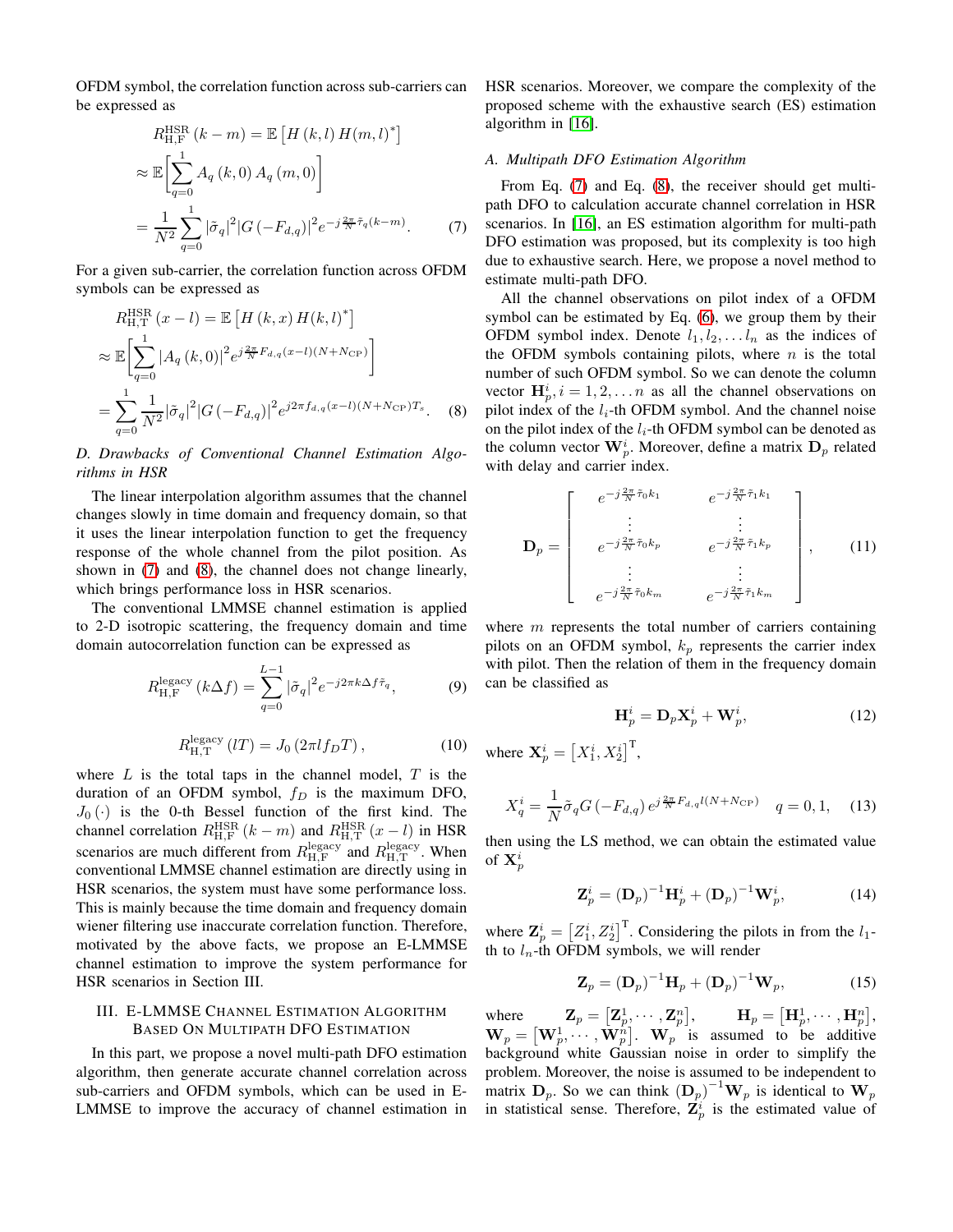OFDM symbol, the correlation function across sub-carriers can be expressed as

$$
R_{\rm H,F}^{\rm HSR} (k - m) = \mathbb{E} \left[ H (k, l) H (m, l)^* \right]
$$
  
\n
$$
\approx \mathbb{E} \left[ \sum_{q=0}^{1} A_q (k, 0) A_q (m, 0) \right]
$$
  
\n
$$
= \frac{1}{N^2} \sum_{q=0}^{1} |\tilde{\sigma}_q|^2 |G(-F_{d,q})|^2 e^{-j\frac{2\pi}{N} \tilde{\tau}_q (k - m)}.
$$
 (7)

For a given sub-carrier, the correlation function across OFDM symbols can be expressed as

$$
R_{\rm H,T}^{\rm HSR} (x - l) = \mathbb{E} \left[ H (k, x) H(k, l)^* \right]
$$
  
\n
$$
\approx \mathbb{E} \left[ \sum_{q=0}^{1} |A_q (k, 0)|^2 e^{j \frac{2\pi}{N} F_{d,q}(x - l)(N + N_{\rm CP})} \right]
$$
  
\n
$$
= \sum_{q=0}^{1} \frac{1}{N^2} |\tilde{\sigma}_q|^2 |G (-F_{d,q})|^2 e^{j 2\pi f_{d,q}(x - l)(N + N_{\rm CP})T_s}.
$$
 (8)

*D. Drawbacks of Conventional Channel Estimation Algorithms in HSR*

The linear interpolation algorithm assumes that the channel changes slowly in time domain and frequency domain, so that it uses the linear interpolation function to get the frequency response of the whole channel from the pilot position. As shown in [\(7\)](#page-2-0) and [\(8\)](#page-2-1), the channel does not change linearly, which brings performance loss in HSR scenarios.

The conventional LMMSE channel estimation is applied to 2-D isotropic scattering, the frequency domain and time domain autocorrelation function can be expressed as

$$
R_{\rm H,F}^{\rm legacy}(k\Delta f) = \sum_{q=0}^{L-1} |\tilde{\sigma}_q|^2 e^{-j2\pi k \Delta f \tilde{\tau}_q},\tag{9}
$$

$$
R_{\rm H,T}^{\rm legacy} (l) = J_0 \left( 2\pi l f_D T \right), \tag{10}
$$

where  $L$  is the total taps in the channel model,  $T$  is the duration of an OFDM symbol,  $f_D$  is the maximum DFO,  $J_0(\cdot)$  is the 0-th Bessel function of the first kind. The channel correlation  $R_{\rm H,F}^{\rm HSR}$   $(k - m)$  and  $R_{\rm H,T}^{\rm HSR}$   $(x - l)$  in HSR scenarios are much different from  $R_{\text{H},\text{F}}^{\text{legacy}}$  and  $R_{\text{H},\text{T}}^{\text{legacy}}$ . When conventional LMMSE channel estimation are directly using in HSR scenarios, the system must have some performance loss. This is mainly because the time domain and frequency domain wiener filtering use inaccurate correlation function. Therefore, motivated by the above facts, we propose an E-LMMSE channel estimation to improve the system performance for HSR scenarios in Section III.

# III. E-LMMSE CHANNEL ESTIMATION ALGORITHM BASED ON MULTIPATH DFO ESTIMATION

In this part, we propose a novel multi-path DFO estimation algorithm, then generate accurate channel correlation across sub-carriers and OFDM symbols, which can be used in E-LMMSE to improve the accuracy of channel estimation in HSR scenarios. Moreover, we compare the complexity of the proposed scheme with the exhaustive search (ES) estimation algorithm in [\[16\]](#page-5-9).

# *A. Multipath DFO Estimation Algorithm*

<span id="page-2-0"></span>From Eq. [\(7\)](#page-2-0) and Eq. [\(8\)](#page-2-1), the receiver should get multipath DFO to calculation accurate channel correlation in HSR scenarios. In [\[16\]](#page-5-9), an ES estimation algorithm for multi-path DFO estimation was proposed, but its complexity is too high due to exhaustive search. Here, we propose a novel method to estimate multi-path DFO.

<span id="page-2-1"></span>All the channel observations on pilot index of a OFDM symbol can be estimated by Eq. [\(6\)](#page-1-4), we group them by their OFDM symbol index. Denote  $l_1, l_2, \ldots l_n$  as the indices of the OFDM symbols containing pilots, where  $n$  is the total number of such OFDM symbol. So we can denote the column vector  $\mathbf{H}_{p}^{i}$ ,  $i = 1, 2, \dots n$  as all the channel observations on pilot index of the  $l_i$ -th OFDM symbol. And the channel noise on the pilot index of the  $l_i$ -th OFDM symbol can be denoted as the column vector  $\mathbf{W}_p^i$ . Moreover, define a matrix  $\mathbf{D}_p$  related with delay and carrier index.

$$
\mathbf{D}_{p} = \begin{bmatrix} e^{-j\frac{2\pi}{N}\tilde{\tau}_{0}k_{1}} & e^{-j\frac{2\pi}{N}\tilde{\tau}_{1}k_{1}} \\ \vdots & \vdots \\ e^{-j\frac{2\pi}{N}\tilde{\tau}_{0}k_{p}} & e^{-j\frac{2\pi}{N}\tilde{\tau}_{1}k_{p}} \\ \vdots & \vdots \\ e^{-j\frac{2\pi}{N}\tilde{\tau}_{0}k_{m}} & e^{-j\frac{2\pi}{N}\tilde{\tau}_{1}k_{m}} \end{bmatrix}, \quad (11)
$$

<span id="page-2-2"></span>where  $m$  represents the total number of carriers containing pilots on an OFDM symbol,  $k_p$  represents the carrier index with pilot. Then the relation of them in the frequency domain can be classified as

$$
\mathbf{H}_p^i = \mathbf{D}_p \mathbf{X}_p^i + \mathbf{W}_p^i, \tag{12}
$$

<span id="page-2-3"></span>where  $\mathbf{X}_p^i = \left[X_1^i, X_2^i\right]^\mathrm{T}$ ,

$$
X_q^i = \frac{1}{N} \tilde{\sigma}_q G \left( -F_{d,q} \right) e^{j\frac{2\pi}{N} F_{d,q} l (N + N_{\rm CP})} \quad q = 0, 1, \quad (13)
$$

then using the LS method, we can obtain the estimated value of  $\mathbf{X}_p^i$ 

$$
\mathbf{Z}_p^i = (\mathbf{D}_p)^{-1} \mathbf{H}_p^i + (\mathbf{D}_p)^{-1} \mathbf{W}_p^i, \tag{14}
$$

where  $\mathbf{Z}_p^i = \left[ Z_1^i, Z_2^i \right]^{\mathrm{T}}$ . Considering the pilots in from the  $l_1$ th to  $l_n$ -th OFDM symbols, we will render

$$
\mathbf{Z}_p = \left(\mathbf{D}_p\right)^{-1} \mathbf{H}_p + \left(\mathbf{D}_p\right)^{-1} \mathbf{W}_p, \tag{15}
$$

where  $\mathbf{Z}_p = \left[\mathbf{Z}_p^1, \cdots, \mathbf{Z}_p^n\right], \qquad \mathbf{H}_p = \left[\mathbf{H}_p^1, \cdots, \mathbf{H}_p^n\right],$  $\mathbf{W}_p = \begin{bmatrix} \mathbf{W}_p^1, \cdots, \mathbf{W}_p^h \end{bmatrix}$ .  $\mathbf{W}_p^f$  is assumed to be additive background white Gaussian noise in order to simplify the problem. Moreover, the noise is assumed to be independent to matrix  $\mathbf{D}_p$ . So we can think  $(\mathbf{D}_p)^{-1}\mathbf{W}_p$  is identical to  $\mathbf{W}_p$ in statistical sense. Therefore,  $\mathbf{Z}_p^i$  is the estimated value of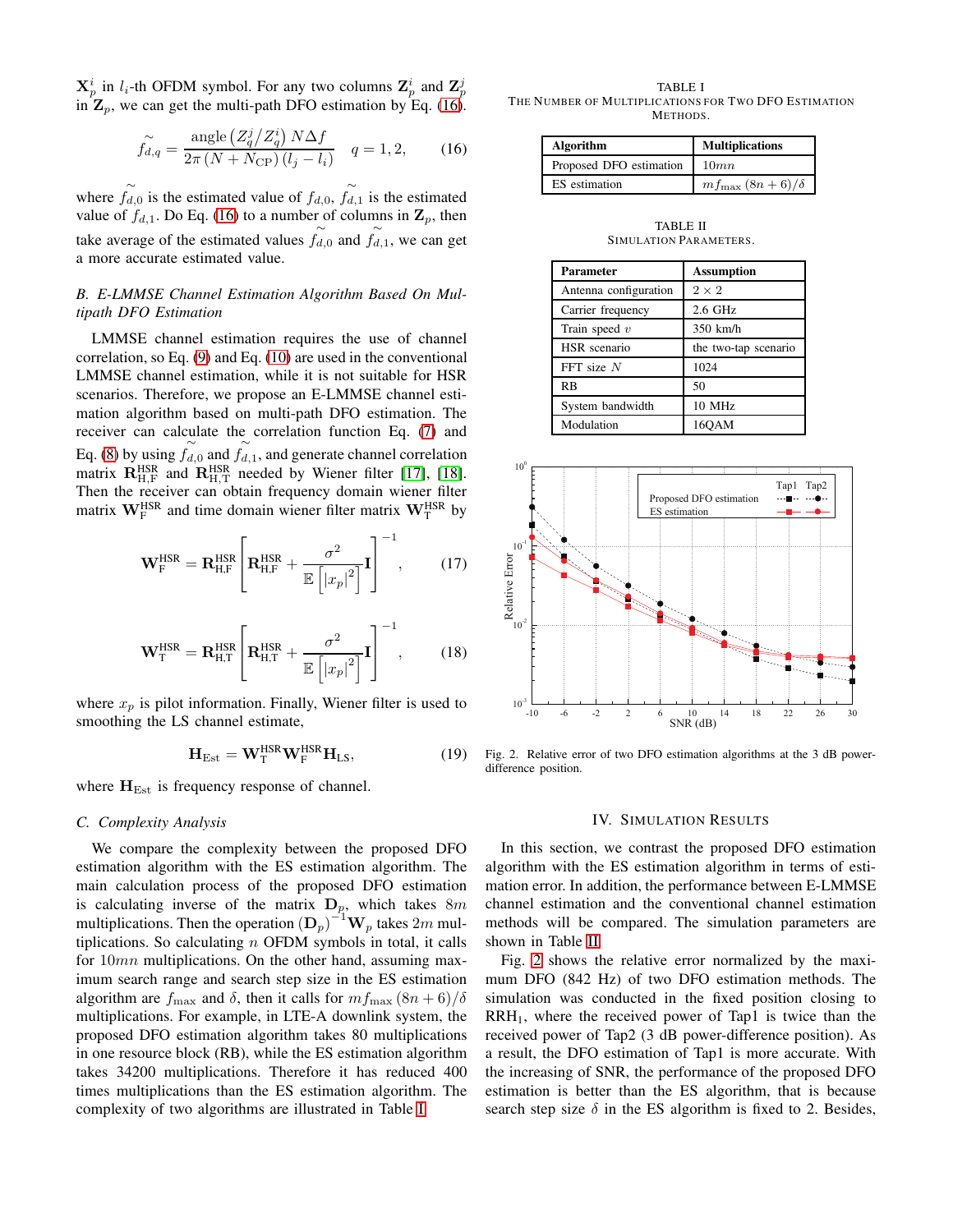$\mathbf{X}_p^i$  in  $l_i$ -th OFDM symbol. For any two columns  $\mathbf{Z}_p^i$  and  $\mathbf{Z}_p^j$ in  $\mathbf{Z}_p$ , we can get the multi-path DFO estimation by Eq. [\(16\)](#page-3-0).

$$
\widetilde{f_{d,q}} = \frac{\text{angle} \left( Z_q^j / Z_q^i \right) N \Delta f}{2\pi \left( N + N_{\text{CP}} \right) \left( l_j - l_i \right)} \quad q = 1, 2, \tag{16}
$$

where  $\tilde{f}_{d,0}$  is the estimated value of  $f_{d,0}$ ,  $\tilde{f}_{d,1}$  is the estimated value of  $f_{d,1}$ . Do Eq. [\(16\)](#page-3-0) to a number of columns in  $\mathbf{Z}_p$ , then take average of the estimated values  $\overrightarrow{f}_{d,0}$  and  $\overrightarrow{f}_{d,1}$ , we can get a more accurate estimated value.

# *B. E-LMMSE Channel Estimation Algorithm Based On Multipath DFO Estimation*

LMMSE channel estimation requires the use of channel correlation, so Eq. [\(9\)](#page-2-2) and Eq. [\(10\)](#page-2-3) are used in the conventional LMMSE channel estimation, while it is not suitable for HSR scenarios. Therefore, we propose an E-LMMSE channel estimation algorithm based on multi-path DFO estimation. The receiver can calculate the correlation function Eq. [\(7\)](#page-2-0) and Eq. [\(8\)](#page-2-1) by using  $f_{d,0}^{\sim}$  and  $f_{d,1}^{\sim}$ , and generate channel correlation matrix  $\mathbf{R}_{\text{H,F}}^{\text{HSR}}$  and  $\mathbf{R}_{\text{H,T}}^{\text{HSR}}$  needed by Wiener filter [\[17\]](#page-5-10), [\[18\]](#page-5-11). Then the receiver can obtain frequency domain wiener filter matrix  $\mathbf{W}_{\text{F}}^{\text{HSR}}$  and time domain wiener filter matrix  $\mathbf{W}_{\text{T}}^{\text{HSR}}$  by

$$
\mathbf{W}_{\mathrm{F}}^{\mathrm{HSR}} = \mathbf{R}_{\mathrm{H,F}}^{\mathrm{HSR}} \left[ \mathbf{R}_{\mathrm{H,F}}^{\mathrm{HSR}} + \frac{\sigma^2}{\mathbb{E}\left[ |x_p|^2 \right]} \mathbf{I} \right]^{-1},\qquad(17)
$$

$$
\mathbf{W}_{\mathrm{T}}^{\mathrm{HSR}} = \mathbf{R}_{\mathrm{H,T}}^{\mathrm{HSR}} \left[ \mathbf{R}_{\mathrm{H,T}}^{\mathrm{HSR}} + \frac{\sigma^2}{\mathbb{E}\left[ |x_p|^2 \right]} \mathbf{I} \right]^{-1},\qquad(18)
$$

where  $x_p$  is pilot information. Finally, Wiener filter is used to smoothing the LS channel estimate,

$$
\mathbf{H}_{\text{Est}} = \mathbf{W}_{\text{T}}^{\text{HSR}} \mathbf{W}_{\text{F}}^{\text{HSR}} \mathbf{H}_{\text{LS}},\tag{19}
$$

where  $H_{Est}$  is frequency response of channel.

# *C. Complexity Analysis*

We compare the complexity between the proposed DFO estimation algorithm with the ES estimation algorithm. The main calculation process of the proposed DFO estimation is calculating inverse of the matrix  $\mathbf{D}_p$ , which takes 8m multiplications. Then the operation  $(D_p)^{-1}$  W<sub>p</sub> takes 2m multiplications. So calculating  $n$  OFDM symbols in total, it calls for  $10mn$  multiplications. On the other hand, assuming maximum search range and search step size in the ES estimation algorithm are  $f_{\text{max}}$  and  $\delta$ , then it calls for  $m f_{\text{max}} (8n + 6)/\delta$ multiplications. For example, in LTE-A downlink system, the proposed DFO estimation algorithm takes 80 multiplications in one resource block (RB), while the ES estimation algorithm takes 34200 multiplications. Therefore it has reduced 400 times multiplications than the ES estimation algorithm. The complexity of two algorithms are illustrated in Table [I.](#page-3-1)

<span id="page-3-1"></span><span id="page-3-0"></span>TABLE I THE NUMBER OF MULTIPLICATIONS FOR TWO DFO ESTIMATION METHODS.

| Algorithm               | <b>Multiplications</b>           |
|-------------------------|----------------------------------|
| Proposed DFO estimation | 10mn                             |
| ES estimation           | $m f_{\text{max}} (8n+6)/\delta$ |

| <b>TABLE II</b>        |  |  |
|------------------------|--|--|
| SIMULATION PARAMETERS. |  |  |

<span id="page-3-2"></span>

| <b>Parameter</b>      | <b>Assumption</b>    |
|-----------------------|----------------------|
| Antenna configuration | $2 \times 2$         |
| Carrier frequency     | $2.6$ GHz            |
| Train speed $v$       | 350 km/h             |
| HSR scenario          | the two-tap scenario |
| FFT size $N$          | 1024                 |
| RB                    | 50                   |
| System bandwidth      | $10$ MHz             |
| Modulation            | 160AM                |



<span id="page-3-3"></span>Fig. 2. Relative error of two DFO estimation algorithms at the 3 dB powerdifference position.

#### IV. SIMULATION RESULTS

In this section, we contrast the proposed DFO estimation algorithm with the ES estimation algorithm in terms of estimation error. In addition, the performance between E-LMMSE channel estimation and the conventional channel estimation methods will be compared. The simulation parameters are shown in Table [II.](#page-3-2)

Fig. [2](#page-3-3) shows the relative error normalized by the maximum DFO (842 Hz) of two DFO estimation methods. The simulation was conducted in the fixed position closing to  $RRH<sub>1</sub>$ , where the received power of Tap1 is twice than the received power of Tap2 (3 dB power-difference position). As a result, the DFO estimation of Tap1 is more accurate. With the increasing of SNR, the performance of the proposed DFO estimation is better than the ES algorithm, that is because search step size  $\delta$  in the ES algorithm is fixed to 2. Besides,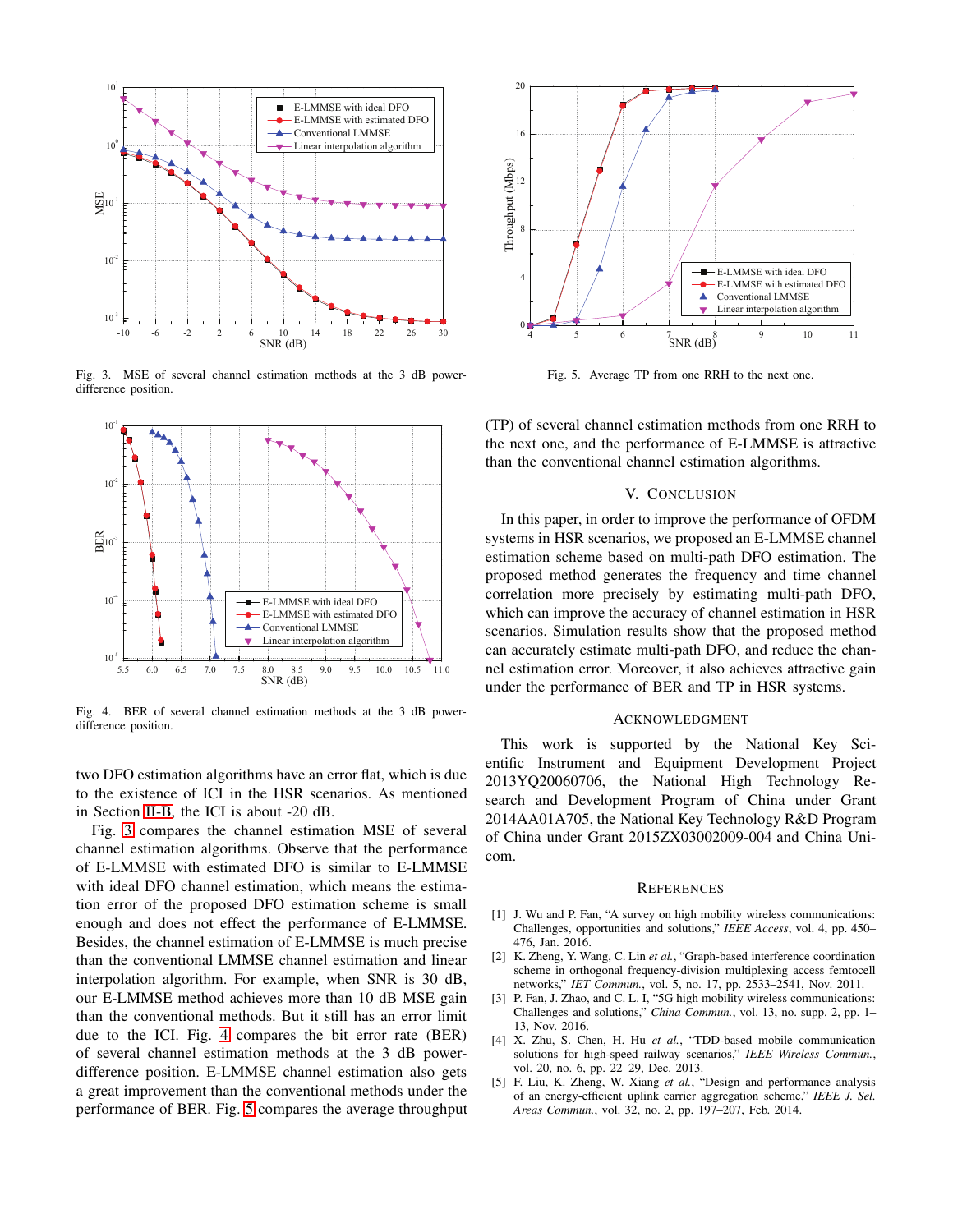

<span id="page-4-3"></span>Fig. 3. MSE of several channel estimation methods at the 3 dB powerdifference position.



<span id="page-4-4"></span>Fig. 4. BER of several channel estimation methods at the 3 dB powerdifference position.

two DFO estimation algorithms have an error flat, which is due to the existence of ICI in the HSR scenarios. As mentioned in Section [II-B,](#page-1-3) the ICI is about -20 dB.

Fig. [3](#page-4-3) compares the channel estimation MSE of several channel estimation algorithms. Observe that the performance of E-LMMSE with estimated DFO is similar to E-LMMSE with ideal DFO channel estimation, which means the estimation error of the proposed DFO estimation scheme is small enough and does not effect the performance of E-LMMSE. Besides, the channel estimation of E-LMMSE is much precise than the conventional LMMSE channel estimation and linear interpolation algorithm. For example, when SNR is 30 dB, our E-LMMSE method achieves more than 10 dB MSE gain than the conventional methods. But it still has an error limit due to the ICI. Fig. [4](#page-4-4) compares the bit error rate (BER) of several channel estimation methods at the 3 dB powerdifference position. E-LMMSE channel estimation also gets a great improvement than the conventional methods under the performance of BER. Fig. [5](#page-4-5) compares the average throughput



<span id="page-4-5"></span>Fig. 5. Average TP from one RRH to the next one.

(TP) of several channel estimation methods from one RRH to the next one, and the performance of E-LMMSE is attractive than the conventional channel estimation algorithms.

#### V. CONCLUSION

In this paper, in order to improve the performance of OFDM systems in HSR scenarios, we proposed an E-LMMSE channel estimation scheme based on multi-path DFO estimation. The proposed method generates the frequency and time channel correlation more precisely by estimating multi-path DFO, which can improve the accuracy of channel estimation in HSR scenarios. Simulation results show that the proposed method can accurately estimate multi-path DFO, and reduce the channel estimation error. Moreover, it also achieves attractive gain under the performance of BER and TP in HSR systems.

### ACKNOWLEDGMENT

This work is supported by the National Key Scientific Instrument and Equipment Development Project 2013YQ20060706, the National High Technology Research and Development Program of China under Grant 2014AA01A705, the National Key Technology R&D Program of China under Grant 2015ZX03002009-004 and China Unicom.

#### **REFERENCES**

- <span id="page-4-0"></span>[1] J. Wu and P. Fan, "A survey on high mobility wireless communications: Challenges, opportunities and solutions," *IEEE Access*, vol. 4, pp. 450– 476, Jan. 2016.
- [2] K. Zheng, Y. Wang, C. Lin *et al.*, "Graph-based interference coordination scheme in orthogonal frequency-division multiplexing access femtocell networks," *IET Commun.*, vol. 5, no. 17, pp. 2533–2541, Nov. 2011.
- <span id="page-4-1"></span>[3] P. Fan, J. Zhao, and C. L. I, "5G high mobility wireless communications: Challenges and solutions," *China Commun.*, vol. 13, no. supp. 2, pp. 1– 13, Nov. 2016.
- <span id="page-4-2"></span>[4] X. Zhu, S. Chen, H. Hu *et al.*, "TDD-based mobile communication solutions for high-speed railway scenarios," *IEEE Wireless Commun.*, vol. 20, no. 6, pp. 22–29, Dec. 2013.
- [5] F. Liu, K. Zheng, W. Xiang *et al.*, "Design and performance analysis of an energy-efficient uplink carrier aggregation scheme," *IEEE J. Sel. Areas Commun.*, vol. 32, no. 2, pp. 197–207, Feb. 2014.